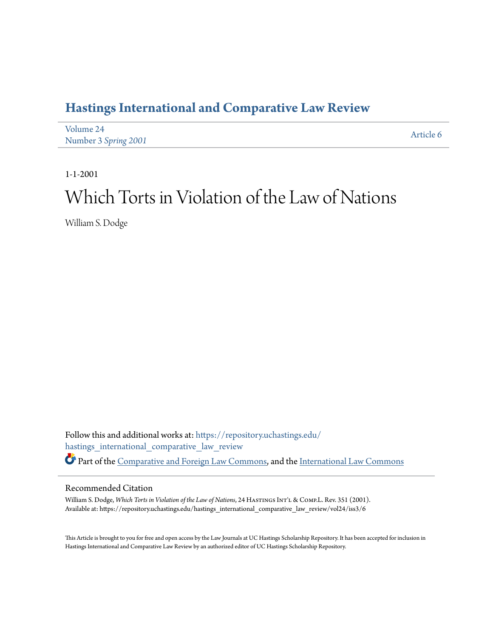## **[Hastings International and Comparative Law Review](https://repository.uchastings.edu/hastings_international_comparative_law_review?utm_source=repository.uchastings.edu%2Fhastings_international_comparative_law_review%2Fvol24%2Fiss3%2F6&utm_medium=PDF&utm_campaign=PDFCoverPages)**

| Volume 24            | Article 6 |
|----------------------|-----------|
| Number 3 Spring 2001 |           |

1-1-2001

# Which Torts in Violation of the Law of Nations

William S. Dodge

Follow this and additional works at: [https://repository.uchastings.edu/](https://repository.uchastings.edu/hastings_international_comparative_law_review?utm_source=repository.uchastings.edu%2Fhastings_international_comparative_law_review%2Fvol24%2Fiss3%2F6&utm_medium=PDF&utm_campaign=PDFCoverPages) [hastings\\_international\\_comparative\\_law\\_review](https://repository.uchastings.edu/hastings_international_comparative_law_review?utm_source=repository.uchastings.edu%2Fhastings_international_comparative_law_review%2Fvol24%2Fiss3%2F6&utm_medium=PDF&utm_campaign=PDFCoverPages) Part of the [Comparative and Foreign Law Commons](http://network.bepress.com/hgg/discipline/836?utm_source=repository.uchastings.edu%2Fhastings_international_comparative_law_review%2Fvol24%2Fiss3%2F6&utm_medium=PDF&utm_campaign=PDFCoverPages), and the [International Law Commons](http://network.bepress.com/hgg/discipline/609?utm_source=repository.uchastings.edu%2Fhastings_international_comparative_law_review%2Fvol24%2Fiss3%2F6&utm_medium=PDF&utm_campaign=PDFCoverPages)

### Recommended Citation

William S. Dodge, *Which Torts in Violation of the Law of Nations*, 24 HASTINGS INT'L & COMP.L. Rev. 351 (2001). Available at: https://repository.uchastings.edu/hastings\_international\_comparative\_law\_review/vol24/iss3/6

This Article is brought to you for free and open access by the Law Journals at UC Hastings Scholarship Repository. It has been accepted for inclusion in Hastings International and Comparative Law Review by an authorized editor of UC Hastings Scholarship Repository.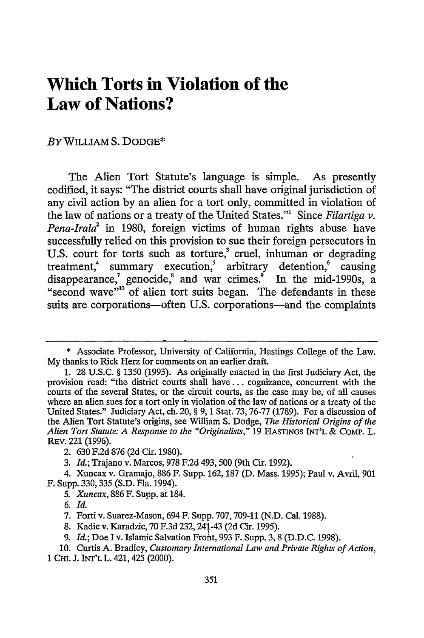## **Which Torts in Violation of the Law of Nations?**

#### BYWILLIAM **S.** DODGE\*

The Alien Tort Statute's language is simple. As presently codified, it says: "The district courts shall have original jurisdiction of any civil action by an alien for a tort only, committed in violation of the law of nations or a treaty of the United States."' Since *Filartiga v. Pena-Irala*<sup>2</sup> in 1980, foreign victims of human rights abuse have successfully relied on this provision to sue their foreign persecutors in U.S. court for torts such as torture,<sup>3</sup> cruel, inhuman or degrading treatment,<sup>4</sup> summary execution,<sup>5</sup> arbitrary detention,<sup>6</sup> causing disappearance,<sup>7</sup> genocide, $^8$  and war crimes.<sup>9</sup> In the mid-1990s, a "second wave"<sup>10</sup> of alien tort suits began. The defendants in these suits are corporations-often U.S. corporations-and the complaints

<sup>\*</sup> Associate Professor, University of California, Hastings College of the Law. My thanks to Rick Herz for comments on an earlier draft.

<sup>1. 28</sup> U.S.C. § 1350 (1993). As originally enacted in the first Judiciary Act, the provision read: "the district courts shall have.., cognizance, concurrent with the courts of the several States, or the circuit courts, as the case may be, of all causes where an alien sues for a tort only in violation of the law of nations or a treaty of the United States." Judiciary Act, ch. 20, § 9, 1 Stat. 73, 76-77 (1789). For a discussion of the Alien Tort Statute's origins, see William S. Dodge, *The Historical Origins of the Alien Tort Statute: A Response to the "Originalists,"* 19 **HASTINGS INT'L** & COMP. L. REv. 221 **(1996).**

<sup>2. 630</sup> F.2d 876 (2d Cir. 1980).

<sup>3.</sup> *Id.;* Trajano v. Marcos, 978 F.2d 493,500 (9th Cir. 1992).

<sup>4.</sup> Xuncax v. Gramajo, 886 F. Supp. 162, 187 (D. Mass. 1995); Paul v. Avril, 901 F. Supp. 330,335 (S.D. Fla. 1994).

*<sup>5.</sup> Xuncax,* 886 F. Supp. at 184.

**<sup>6.</sup>** *Id.*

**<sup>7.</sup> Forti** v. Suarez-Mason, 694 F. Supp. **707,709-11 (N.D.** Cal. **1988).**

**<sup>8.</sup>** Kadic v. Karadzic, **70 F.3d** 232,241-43 **(2d** Cir. 1995).

**<sup>9.</sup>** *Id.;* Doe I v. Islamic Salvation Front, **993** F. Supp. **3, 8 (D.D.C. 1998).**

**<sup>10.</sup>** Curtis **A.** Bradley, *Customary International Law and Private Rights of Action,*

<sup>1</sup> CHI. **J.** INT'LL. 421,425 (2000).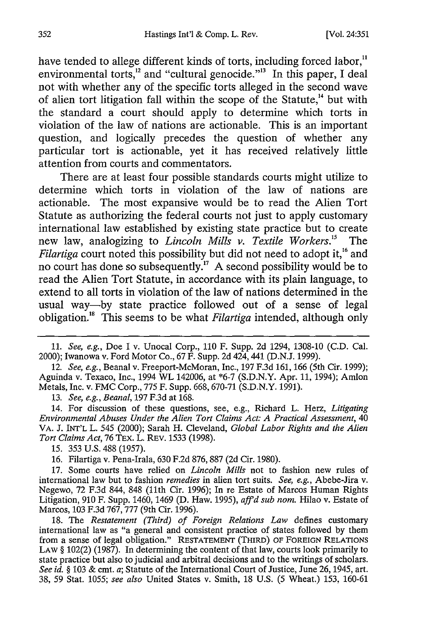have tended to allege different kinds of torts, including forced labor,<sup>11</sup> environmental torts, $^{12}$  and "cultural genocide."<sup>3</sup> In this paper, I deal not with whether any of the specific torts alleged in the second wave of alien tort litigation fall within the scope of the Statute, $^{14}$  but with the standard a court should apply to determine which torts in violation of the law of nations are actionable. This is an important question, and logically precedes the question of whether any particular tort is actionable, yet it has received relatively little attention from courts and commentators.

There are at least four possible standards courts might utilize to determine which torts in violation of the law of nations are actionable. The most expansive would be to read the Alien Tort Statute as authorizing the federal courts not just to apply customary international law established by existing state practice but to create new law, analogizing to *Lincoln Mills v. Textile Workers.5* The *Filartiga* court noted this possibility but did not need to adopt it.<sup>16</sup> and no court has done so subsequently.'7 A second possibility would be to read the Alien Tort Statute, in accordance with its plain language, to extend to all torts in violation of the law of nations determined in the usual way-by state practice followed out of a sense of legal obligation. This seems to be what *Filartiga* intended, although only

12. *See, e.g.,* Beanal v. Freeport-McMoran, Inc., 197 F.3d 161, 166 (5th Cir. 1999); Aguinda v. Texaco, Inc., 1994 WL 142006, at **\*6-7** (S.D.N.Y. Apr. 11, 1994); Amlon Metals, Inc. v. FMC Corp., 775 F. Supp. 668, 670-71 (S.D.N.Y. 1991).

13. *See, e.g., Beanal,* 197 F.3d at 168.

14. For discussion of these questions, see, e.g., Richard L. Herz, *Litigating Environmental Abuses Under the Alien Tort Claims Act: A Practical Assessment,* 40 VA. J. INT'L L. 545 (2000); Sarah H. Cleveland, *Global Labor Rights and the Alien Tort Claims Act,* 76 Tax. L. RaV. 1533 (1998).

15. 353 U.S. 488 (1957).

16. Filartiga v. Pena-Irala, 630 F.2d 876, 887 (2d Cir. 1980).

17. Some courts have relied on *Lincoln Mills* not to fashion new rules of international law but to fashion *remedies* in alien tort suits. *See, e.g.,* Abebe-Jira v. Negewo, 72 F.3d 844, 848 (11th Cir. 1996); In re Estate of Marcos Human Rights Litigation, 910 F. Supp. 1460, 1469 (D. Haw. 1995), *affd sub nom.* Hilao v. Estate of Marcos, 103 F.3d 767, 777 (9th Cir. 1996).

18. The *Restatement (Third) of Foreign Relations Law* defines customary international law as "a general and consistent practice of states followed by them from a sense of legal obligation." **RESTATEMENT** (THIRD) OF FOREIGN RELATIONS LAW § 102(2) (1987). In determining the content of that law, courts look primarily to state practice but also to judicial and arbitral decisions and to the writings of scholars. *See id. §* 103 & cmt. a; Statute of the International Court of Justice, June 26, 1945, art. 38, 59 Stat. 1055; *see also* United States v. Smith, 18 U.S. (5 Wheat.) 153, 160-61

<sup>11.</sup> *See, e.g.,* Doe I v. Unocal Corp., 110 F. Supp. 2d 1294, 1308-10 (C.D. Cal. 2000); Iwanowa v. Ford Motor Co., 67 F. Supp. 2d 424, 441 (D.N.J. 1999).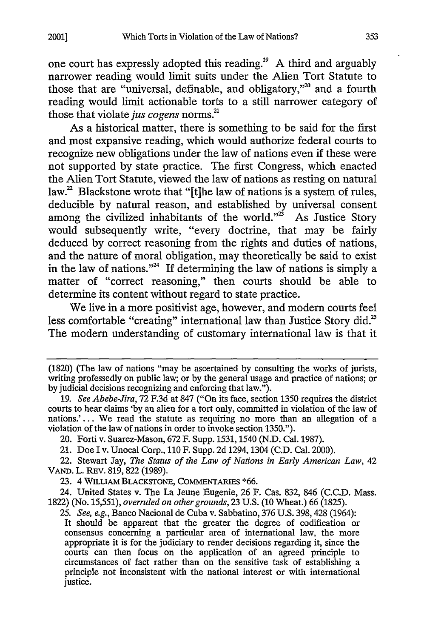one court has expressly adopted this reading.<sup>19</sup> A third and arguably narrower reading would limit suits under the Alien Tort Statute to those that are "universal, definable, and obligatory,"<sup>20</sup> and a fourth reading would limit actionable torts to a still narrower category of those that violate *jus cogens* norms.<sup>21</sup>

As a historical matter, there is something to be said for the first and most expansive reading, which would authorize federal courts to recognize new obligations under the law of nations even if these were not supported by state practice. The first Congress, which enacted the Alien Tort Statute, viewed the law of nations as resting on natural law.<sup>22</sup> Blackstone wrote that "[t]he law of nations is a system of rules, deducible by natural reason, and established by universal consent among the civilized inhabitants of the world." $\mathbb{Z}^3$  As Justice Story would subsequently write, "every doctrine, that may be fairly deduced by correct reasoning from the rights and duties of nations, and the nature of moral obligation, may theoretically be said to exist in the law of nations."<sup>24</sup> If determining the law of nations is simply a matter of "correct reasoning," then courts should be able to determine its content without regard to state practice.

We live in a more positivist age, however, and modem courts feel less comfortable "creating" international law than Justice Story did.<sup>25</sup> The modem understanding of customary international law is that it

24. United States v. The La Jeune Eugenie, 26 F. Cas. 832, 846 (C.C.D. Mass. 1822) (No. 15,551), *overruled on other grounds,* 23 U.S. (10 Wheat.) 66 (1825).

25. *See, e.g.,* Banco Nacional de Cuba v. Sabbatino, 376 U.S. 398,428 (1964): It should be apparent that the greater the degree of codification or consensus concerning a particular area of international law, the more appropriate it is for the judiciary to render decisions regarding it, since the courts can then focus on the application of an agreed principle to circumstances of fact rather than on the sensitive task of establishing a principle not inconsistent with the national interest or with international justice.

<sup>(1820) (</sup>The law of nations "may be ascertained by consulting the works of jurists, writing professedly on public law; or by the general usage and practice of nations; or by judicial decisions recognizing and enforcing that law.").

<sup>19.</sup> *See Abebe-Jira,* 72 F.3d at 847 ("On its face, section 1350 requires the district courts to hear claims 'by an alien for a tort only, committed in violation of the law of nations.'... We read the statute as requiring no more than an allegation of a violation of the law of nations in order to invoke section 1350.").

<sup>20.</sup> Forti v. Suarez-Mason, 672 F. Supp. 1531,1540 (N.D. Cal. 1987).

<sup>21.</sup> Doe I v. Unocal Corp., 110 F. Supp. 2d 1294, 1304 (C.D. Cal. 2000).

<sup>22.</sup> Stewart Jay, *The Status of the Law of Nations in Early American Law,* 42 VAND. L. REV. 819, 822 (1989).

**<sup>23.</sup>** 4 WILLIAM BLACKSTONE, COMMENTARIES **\*66.**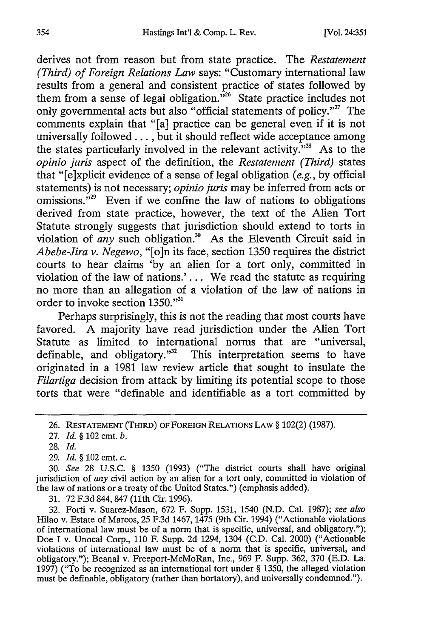derives not from reason but from state practice. The *Restatement (Third) of Foreign Relations Law* says: "Customary international law results from a general and consistent practice of states followed by them from a sense of legal obligation. $\tilde{v}^{26}$  State practice includes not only governmental acts but also "official statements of policy."<sup>27</sup> The comments explain that "[a] practice can be general even if it is not universally followed..., but it should reflect wide acceptance among the states particularly involved in the relevant activity. $\frac{1}{x^{28}}$  As to the *opinio juris* aspect of the definition, the *Restatement (Third)* states that "[e]xplicit evidence of a sense of legal obligation *(e.g.,* by official statements) is not necessary; *opinio juris* may be inferred from acts or omissions."<sup>29</sup> Even if we confine the law of nations to obligations derived from state practice, however, the text of the Alien Tort Statute strongly suggests that jurisdiction should extend to torts in violation of *any* such obligation.<sup>30</sup> As the Eleventh Circuit said in *Abebe-Jira v. Negewo,* "[o]n its face, section 1350 requires the district courts to hear claims 'by an alien for a tort only, committed in violation of the law of nations.' ... We read the statute as requiring no more than an allegation of a violation of the law of nations in order to invoke section 1350."<sup>31</sup>

Perhaps surprisingly, this is not the reading that most courts have favored. A majority have read jurisdiction under the Alien Tort Statute as limited to international norms that are "universal, definable, and obligatory."<sup>32</sup> This interpretation seems to have originated in a 1981 law review article that sought to insulate the *Filartiga* decision from attack by limiting its potential scope to those torts that were "definable and identifiable as a tort committed by

29. *Id. §* 102 cmt. *c.*

31. 72 F.3d 844, 847 (1th Cir. 1996).

32. Forti v. Suarez-Mason, 672 F. Supp. 1531, 1540 (N.D. Cal. 1987); *see also* Hilao v. Estate of Marcos, 25 F.3d 1467, 1475 (9th Cir. 1994) ("Actionable violations of international law must be of a norm that is specific, universal, and obligatory."); Doe I v. Unocal Corp., 110 F. Supp. 2d 1294, 1304 (C.D. Cal. 2000) ("Actionable violations of international law must be of a norm that is specific, universal, and obligatory."); Beanal v. Freeport-McMoRan, Inc., 969 F. Supp. 362, 370 (E.D. La. 1997) ("To be recognized as an international tort under § 1350, the alleged violation must be definable, obligatory (rather than hortatory), and universally condemned.").

<sup>26.</sup> RESTATEMENT (THIRD) OF FOREIGN RELATIONS LAW § 102(2) (1987).

<sup>27.</sup> *Id.* **§** 102 cmt. *b.*

<sup>28.</sup> *Id.*

<sup>30.</sup> *See* 28 U.S.C. § 1350 (1993) ("The district courts shall have original jurisdiction of *any* civil action by an alien for a tort only, committed in violation of the law of nations or a treaty of the United States.") (emphasis added).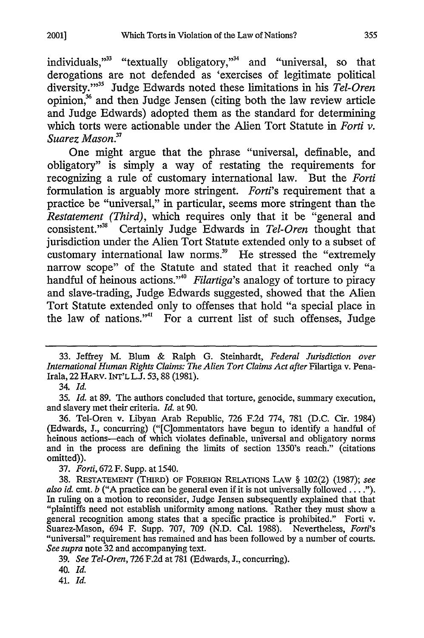individuals,"<sup>33</sup> "textually obligatory,"<sup>34</sup> and "universal, so that derogations are not defended as 'exercises of legitimate political diversity."'35 Judge Edwards noted these limitations in his *Tel-Oren* opinion,<sup>36</sup> and then Judge Jensen (citing both the law review article and Judge Edwards) adopted them as the standard for determining which torts were actionable under the Alien Tort Statute in *Forti v. Suarez Mason. 2*

One might argue that the phrase "universal, definable, and obligatory" is simply a way of restating the requirements for recognizing a rule of customary international law. But the *Forti* formulation is arguably more stringent. *Forti's* requirement that a practice be "universal," in particular, seems more stringent than the *Restatement (Third)*, which requires only that it be "general and consistent."<sup>38</sup> Certainly Judge Edwards in *Tel-Oren* thought that jurisdiction under the Alien Tort Statute extended only to a subset of customary international law norms.<sup>39</sup> He stressed the "extremely narrow scope" of the Statute and stated that it reached only "a handful of heinous actions."' *Filartiga's* analogy of torture to piracy and slave-trading, Judge Edwards suggested, showed that the Alien Tort Statute extended only to offenses that hold "a special place in the law of nations."'" For a current list of such offenses, Judge

34. *Id.*

35. *Id.* at 89. The authors concluded that torture, genocide, summary execution, and slavery met their criteria. *Id.* at 90.

36. Tel-Oren v. Libyan Arab Republic, 726 F.2d 774, 781 (D.C. Cir. 1984) (Edwards, **J.,** concurring) ("[C]ommentators have begun to identify a handful of heinous actions-each of which violates definable, universal and obligatory norms and in the process are defining the limits of section 1350's reach." (citations omitted)).

37. *Forti,* 672 F. Supp. at 1540.

38. RESTATEMENT (THIRD) OF FOREIGN RELATIONS LAW § 102(2) (1987); *see also id.* cmt. *b* ("A practice can be general even if it is not universally followed **....").** In ruling on a motion to reconsider, Judge Jensen subsequently explained that that "plaintiffs need not establish uniformity among nations. Rather they must show a general recognition among states that a specific practice is prohibited." Forti v. Suarez-Mason, 694 F. Supp. 707, 709 (N.D. Cal. 1988). Nevertheless, *Forti's* "universal" requirement has remained and has been followed by a number of courts. *See supra* note 32 and accompanying text.

39. *See Tel-Oren,* 726 F.2d at **781** (Edwards, **J.,** concurring).

40. *Id.*

41. *Id.*

<sup>33.</sup> Jeffrey M. Blum & Ralph G. Steinhardt, *Federal Jurisdiction over International Human Rights Claims: The Alien Tort Claims Act after* Filartiga v. Pena-Irala, 22 HARv. INT'L L.J. 53, 88 (1981).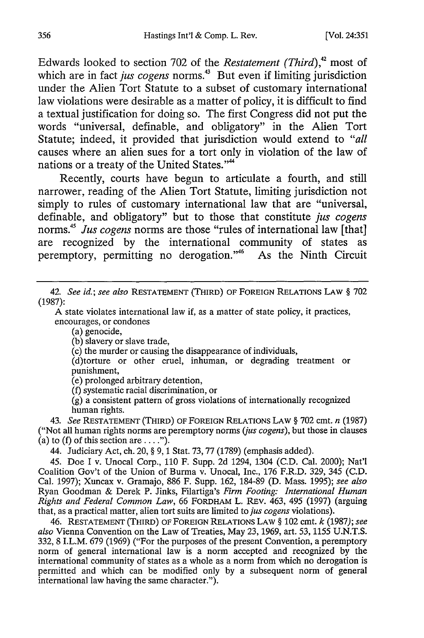Edwards looked to section 702 of the *Restatement (Third),42* most of which are in fact *jus cogens* norms.<sup>43</sup> But even if limiting jurisdiction under the Alien Tort Statute to a subset of customary international law violations were desirable as a matter of policy, it is difficult to find a textual justification for doing so. The first Congress did not put the words "universal, definable, and obligatory" in the Alien Tort Statute; indeed, it provided that jurisdiction would extend to *"all* causes where an alien sues for a tort only in violation of the law of nations or a treaty of the United States."<sup>44</sup>

Recently, courts have begun to articulate a fourth, and still narrower, reading of the Alien Tort Statute, limiting jurisdiction not simply to rules of customary international law that are "universal, definable, and obligatory" but to those that constitute *jus cogens* norms.45 *Jus cogens* norms are those "rules of international law [that] are recognized by the international community of states as peremptory, permitting no derogation."46 As the Ninth Circuit

42. *See id.; see also* RESTATEMENT (THIRD) OF FOREIGN RELATIONS LAW § 702 (1987):

A state violates international law if, as a matter of state policy, it practices, encourages, or condones

(a) genocide,

(b) slavery or slave trade,

(c) the murder or causing the disappearance of individuals,

(d)torture or other cruel, inhuman, or degrading treatment or punishment,

(e) prolonged arbitrary detention,

(f) systematic racial discrimination, or

(g) a consistent pattern of gross violations of internationally recognized human rights.

43. *See* RESTATEMENT (THIRD) OF FOREIGN RELATIONS LAW § 702 cmt. *n* (1987) ("Not all human rights norms are peremptory norms *(jus cogens),* but those in clauses (a) to (f) of this section are  $\dots$ .").

44. Judiciary Act, ch. 20, § 9, 1 Stat. **73,77** (1789) (emphasis added).

45. Doe I v. Unocal Corp., 110 F. Supp. 2d 1294, 1304 **(C.D.** Cal. 2000); Nat'l Coalition Gov't of the Union of Burma v. Unocal, Inc., **176** F.R.D. 329, 345 **(C.D.** Cal. 1997); Xuncax v. Gramajo, 886 F. Supp. 162, 184-89 **(D.** Mass. 1995); *see also* Ryan Goodman & Derek P. Jinks, Filartiga's *Firm Footing: International Human Rights and Federal Common Law,* 66 FORDHAM L. REv. 463, 495 (1997) (arguing that, as a practical matter, alien tort suits are limited to *jus cogens* violations).

46. **RESTATEMENT** (THIRD) **OF FOREIGN** RELATIONS LAW § 102 cmt. *k* (1987); *see also* Vienna Convention on the Law of Treaties, May 23, 1969, art. 53, 1155 U.N.T.S. 332, 8 I.L.M. **679** (1969) ("For the purposes of the present Convention, a peremptory norm of general international law is a norm accepted and recognized **by** the international community of states as a whole as a norm from which no derogation is permitted and which can be modified only **by** a subsequent norm of general international law having the same character.").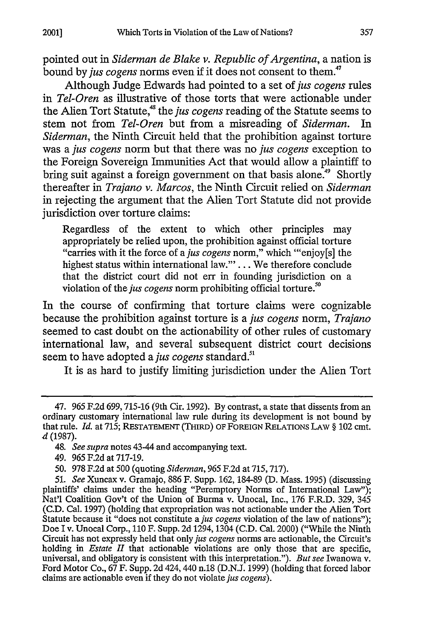pointed out in *Siderman de Blake v. Republic of Argentina,* a nation is bound by *jus cogens* norms even if it does not consent to them.<sup>47</sup>

Although Judge Edwards had pointed to a set of *jus cogens* rules in *Tel-Oren* as illustrative of those torts that were actionable under the Alien Tort Statute,<sup>48</sup> the *jus cogens* reading of the Statute seems to stem not from *Tel-Oren* but from a misreading of *Siderman.* In *Siderman,* the Ninth Circuit held that the prohibition against torture was a *jus cogens* norm but that there was no **jus** *cogens* exception to the Foreign Sovereign Immunities Act that would allow a plaintiff to bring suit against a foreign government on that basis alone.<sup>49</sup> Shortly thereafter in *Trajano v. Marcos,* the Ninth Circuit relied on *Siderman* in rejecting the argument that the Alien Tort Statute did not provide jurisdiction over torture claims:

Regardless of the extent to which other principles may appropriately be relied upon, the prohibition against official torture "carries with it the force of a jus cogens norm," which "enjoy[s] the highest status within international law."'... We therefore conclude that the district court did not err in founding jurisdiction on a violation of the *jus cogens* norm prohibiting official torture.<sup>50</sup>

In the course of confirming that torture claims were cognizable because the prohibition against torture is a *jus cogens* norm, *Trajano* seemed to cast doubt on the actionability of other rules of customary international law, and several subsequent district court decisions seem to have adopted a *jus cogens* standard.<sup>51</sup>

It is as hard to justify limiting jurisdiction under the Alien Tort

<sup>47. 965</sup> F.2d 699,715-16 (9th Cir. 1992). By contrast, a state that dissents from an ordinary customary international law rule during its development is not bound by that rule. *Id.* at 715; **RESTATEMENT** (THIRD) OF FOREIGN RELATIONS LAW § 102 cmt. *d* (1987).

<sup>48.</sup> *See supra* notes 43-44 and accompanying text.

<sup>49. 965</sup> F.2d at 717-19.

<sup>50. 978</sup> F.2d at 500 (quoting *Siderman,* 965 F.2d at 715,717).

*<sup>51.</sup> See* Xuncax v. Gramajo, 886 F. Supp. 162, 184-89 (D. Mass. 1995) (discussing plaintiffs' claims under the heading "Peremptory Norms of International Law"); Nat'l Coalition Gov't of the Union of Burma v. Unocal, Inc., 176 F.R.D. 329, 345 (C.D. Cal. 1997) (holding that expropriation was not actionable under the Alien Tort Statute because it "does not constitute a *jus cogens* violation of the law of nations"); Doe I v. Unocal Corp., 110 F. Supp. 2d 1294, 1304 (C.D. Cal. 2000) ("While the Ninth Circuit has not expressly held that only *jus cogens* norms are actionable, the Circuit's holding in *Estate II* that actionable violations are only those that are specific, universal, and obligatory is consistent with this interpretation."). *But see* Iwanowa v. Ford Motor Co., 67 F. Supp. 2d 424, 440 n.18 (D.N.J. 1999) (holding that forced labor claims are actionable even if they do not violate *jus cogens).*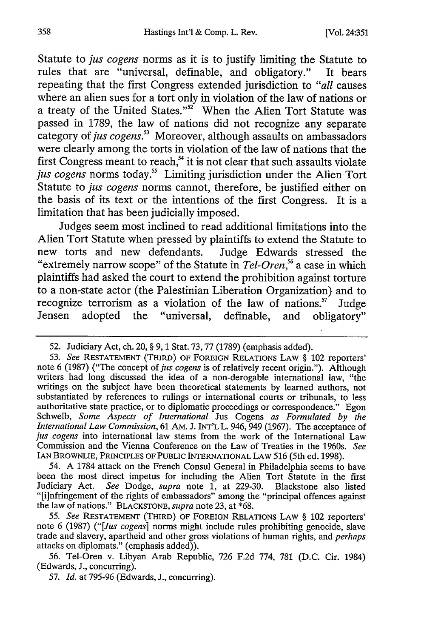Statute to *jus cogens* norms as it is to justify limiting the Statute to rules that are "universal, definable, and obligatory." It bears repeating that the first Congress extended jurisdiction to *"all* causes where an alien sues for a tort only in violation of the law of nations or a treaty of the United States." $52$  When the Alien Tort Statute was passed in **1789,** the law of nations did not recognize any separate category of *jus cogens.5* Moreover, although assaults on ambassadors were clearly among the torts in violation of the law of nations that the first Congress meant to reach,<sup>54</sup> it is not clear that such assaults violate jus cogens norms today.<sup>55</sup> Limiting jurisdiction under the Alien Tort Statute to *jus cogens* norms cannot, therefore, be justified either on the basis of its text or the intentions of the first Congress. It is a limitation that has been judicially imposed.

Judges seem most inclined to read additional limitations into the Alien Tort Statute when pressed **by** plaintiffs to extend the Statute to new torts and new defendants. Judge Edwards stressed the "extremely narrow scope" of the Statute in *Tel-Oren ,56* a case in which plaintiffs had asked the court to extend the prohibition against torture to a non-state actor (the Palestinian Liberation Organization) and to recognize terrorism as a violation of the law of nations.<sup>57</sup> Judge Jensen adopted the "universal, definable, and obligatory"

54. A **1784** attack on the French Consul General in Philadelphia seems to have been the most direct impetus for including the Alien Tort Statute in the first Judiciary Act. *See* Dodge, *supra* note 1, at 229-30. Blackstone also listed "[i]nfringement of the rights of embassadors" among the "principal offences against the law of nations." BLACKSTONE, *supra* note 23, at \*68.

55. *See* RESTATEMENT (THIRD) OF FOREIGN RELATIONS LAW § 102 reporters' note 6 (1987) *("[Jus cogens]* norms might include rules prohibiting genocide, slave trade and slavery, apartheid and other gross violations of human rights, and *perhaps* attacks on diplomats." (emphasis added)).

56. Tel-Oren v. Libyan Arab Republic, 726 F.2d 774, **781** (D.C. Cir. 1984) (Edwards, J., concurring).

57. *Id.* at 795-96 (Edwards, J., concurring).

<sup>52.</sup> Judiciary Act, ch. 20, § 9, 1 Stat. 73,77 (1789) (emphasis added).

<sup>53.</sup> *See* RESTATEMENT (THIRD) OF FOREIGN RELATIONS LAW § 102 reporters' note 6 (1987) ("The concept of *jus cogens* is of relatively recent origin."). Although writers had long discussed the idea of a non-derogable international law, "the writings on the subject have been theoretical statements **by** learned authors, not substantiated **by** references to rulings or international courts or tribunals, to less authoritative state practice, or to diplomatic proceedings or correspondence." Egon Schwelb, *Some Aspects of International* Jus Cogens *as Formulated by the International Law Commission,* 61 **AM.** J. INT'L L. 946, 949 (1967). The acceptance of *jus cogens* into international law stems from the work of the International Law Commission and the Vienna Conference on the Law of Treaties in the 1960s. *See* IAN BROWNLIE, PRINCIPLES **OF** PUBLIC INTERNATIONAL LAW 516 (5th ed. 1998).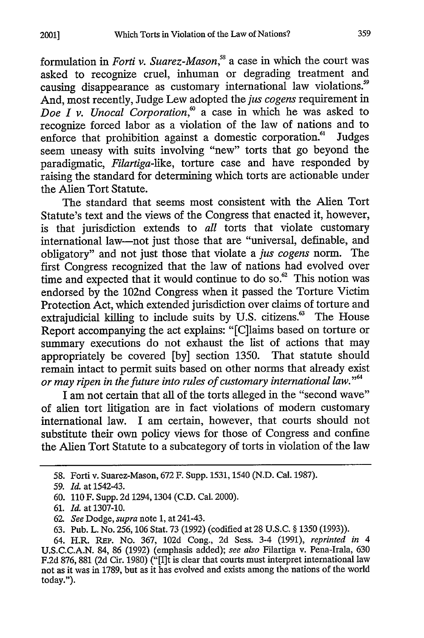formulation in *Forti v. Suarez-Mason,5* a case in which the court was asked to recognize cruel, inhuman or degrading treatment and causing disappearance as customary international law violations.<sup>59</sup> And, most recently, Judge Lew adopted the *jus cogens* requirement in *Doe I v. Unocal Corporation*,<sup>60</sup> a case in which he was asked to recognize forced labor as a violation of the law of nations and to enforce that prohibition against a domestic corporation.<sup>61</sup> Judges seem uneasy with suits involving "new" torts that go beyond the paradigmatic, *Filartiga-like,* torture case and have responded by raising the standard for determining which torts are actionable under the Alien Tort Statute.

The standard that seems most consistent with the Alien Tort Statute's text and the views of the Congress that enacted it, however, is that jurisdiction extends to *all* torts that violate customary international law-not just those that are "universal, definable, and obligatory" and not just those that violate a *jus cogens* norm. The first Congress recognized that the law of nations had evolved over time and expected that it would continue to do so. $62$  This notion was endorsed by the 102nd Congress when it passed the Torture Victim Protection Act, which extended jurisdiction over claims of torture and extrajudicial killing to include suits by U.S. citizens.<sup>63</sup> The House Report accompanying the act explains: "[C]laims based on torture or summary executions do not exhaust the list of actions that may appropriately be covered [by] section 1350. That statute should remain intact to permit suits based on other norms that already exist remain intact to permit suits based on other horms that alleady existency contribution of the future into rules of customary international law.<sup>"  $\frac{d}{dx}$ </sup>

I am not certain that all of the torts alleged in the "second wave" of alien tort litigation are in fact violations of modern customary international law. I am certain, however, that courts should not substitute their own policy views for those of Congress and confine the Alien Tort Statute to a subcategory of torts in violation of the law

<sup>58.</sup> Forti v. Suarez-Mason, 672 F. Supp. 1531, 1540 (N.D. Cal. 1987).

<sup>59.</sup> *Id.* at 1542-43.

<sup>60. 110</sup> F. Supp. 2d 1294,1304 (C.D. Cal. 2000).

<sup>61.</sup> *Id.* at 1307-10.

<sup>62.</sup> *See* Dodge, *supra* note 1, at 241-43.

<sup>63.</sup> Pub. L. No. 256, 106 Stat. 73 (1992) (codified at 28 U.S.C. § 1350 (1993)).

<sup>64.</sup> H.R. REP. No. 367, 102d Cong., 2d Sess. 3-4 (1991), *reprinted in 4* U.S.C.C.A.N. 84, 86 (1992) (emphasis added); *see also* Filartiga v. Pena-Irala, 630 F.2d 876, 881 (2d Cir. 1980) ("[I]t is clear that courts must interpret international law not as it was in 1789, but as it has evolved and exists among the nations of the world today.").